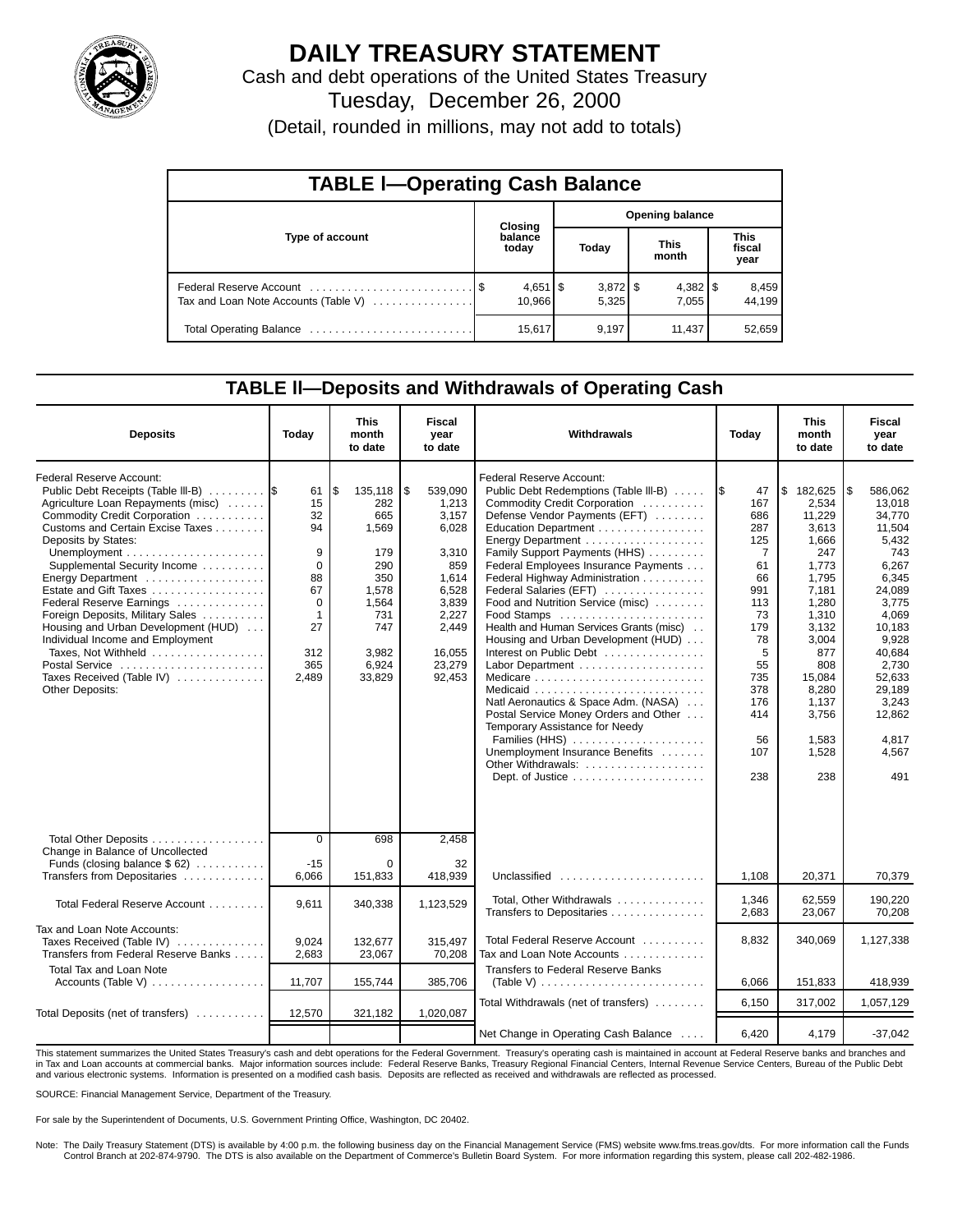

# **DAILY TREASURY STATEMENT**

Cash and debt operations of the United States Treasury Tuesday, December 26, 2000

(Detail, rounded in millions, may not add to totals)

| <b>TABLE I-Operating Cash Balance</b> |  |                              |                        |                     |  |                       |                               |                 |  |
|---------------------------------------|--|------------------------------|------------------------|---------------------|--|-----------------------|-------------------------------|-----------------|--|
|                                       |  | <b>Closing</b>               | <b>Opening balance</b> |                     |  |                       |                               |                 |  |
| Type of account                       |  | balance<br>today             |                        | Today               |  | <b>This</b><br>month  | <b>This</b><br>fiscal<br>year |                 |  |
| Tax and Loan Note Accounts (Table V)  |  | $4,651$ $\sqrt{5}$<br>10.966 |                        | $3,872$ \$<br>5.325 |  | $4,382$   \$<br>7.055 |                               | 8,459<br>44.199 |  |
|                                       |  | 15,617                       |                        | 9,197               |  | 11,437                |                               | 52,659          |  |

#### **TABLE ll—Deposits and Withdrawals of Operating Cash**

| <b>Deposits</b>                                                                                                                                                                                                                                                                                                                                                                                                                                                                                                          | Today                                                                                              | <b>This</b><br>month<br>to date                                                                                        | Fiscal<br>vear<br>to date                                                                                                             | Withdrawals                                                                                                                                                                                                                                                                                                                                                                                                                                                                                                                                                                                                                                                                                                      | Today                                                                                                                                                           | <b>This</b><br>month<br>to date                                                                                                                                                                  | <b>Fiscal</b><br>vear<br>to date                                                                                                                                                                                 |
|--------------------------------------------------------------------------------------------------------------------------------------------------------------------------------------------------------------------------------------------------------------------------------------------------------------------------------------------------------------------------------------------------------------------------------------------------------------------------------------------------------------------------|----------------------------------------------------------------------------------------------------|------------------------------------------------------------------------------------------------------------------------|---------------------------------------------------------------------------------------------------------------------------------------|------------------------------------------------------------------------------------------------------------------------------------------------------------------------------------------------------------------------------------------------------------------------------------------------------------------------------------------------------------------------------------------------------------------------------------------------------------------------------------------------------------------------------------------------------------------------------------------------------------------------------------------------------------------------------------------------------------------|-----------------------------------------------------------------------------------------------------------------------------------------------------------------|--------------------------------------------------------------------------------------------------------------------------------------------------------------------------------------------------|------------------------------------------------------------------------------------------------------------------------------------------------------------------------------------------------------------------|
| <b>Federal Reserve Account:</b><br>Public Debt Receipts (Table III-B)<br>Agriculture Loan Repayments (misc)<br>Commodity Credit Corporation<br>Customs and Certain Excise Taxes<br>Deposits by States:<br>Supplemental Security Income<br>Energy Department<br>Estate and Gift Taxes<br>Federal Reserve Earnings<br>Foreign Deposits, Military Sales<br>Housing and Urban Development (HUD)<br>Individual Income and Employment<br>Taxes, Not Withheld<br>Postal Service<br>Taxes Received (Table IV)<br>Other Deposits: | 61<br>15<br>32<br>94<br>9<br>$\Omega$<br>88<br>67<br>$\mathbf 0$<br>1<br>27<br>312<br>365<br>2,489 | ۱\$<br>135,118<br>282<br>665<br>1,569<br>179<br>290<br>350<br>1,578<br>1,564<br>731<br>747<br>3,982<br>6,924<br>33,829 | ا \$<br>539.090<br>1.213<br>3.157<br>6.028<br>3,310<br>859<br>1,614<br>6,528<br>3,839<br>2,227<br>2,449<br>16,055<br>23,279<br>92,453 | <b>Federal Reserve Account:</b><br>Public Debt Redemptions (Table III-B)<br>Commodity Credit Corporation<br>Defense Vendor Payments (EFT)<br>Education Department<br>Family Support Payments (HHS)<br>Federal Employees Insurance Payments<br>Federal Highway Administration<br>Federal Salaries (EFT)<br>Food and Nutrition Service (misc)<br>Health and Human Services Grants (misc)<br>Housing and Urban Development (HUD)<br>Interest on Public Debt<br>Natl Aeronautics & Space Adm. (NASA)<br>Postal Service Money Orders and Other<br>Temporary Assistance for Needy<br>Families (HHS)<br>Unemployment Insurance Benefits<br>Other Withdrawals:<br>Dept. of Justice $\dots \dots \dots \dots \dots \dots$ | 1\$<br>47<br>167<br>686<br>287<br>125<br>$\overline{7}$<br>61<br>66<br>991<br>113<br>73<br>179<br>78<br>5<br>55<br>735<br>378<br>176<br>414<br>56<br>107<br>238 | \$182,625<br>2.534<br>11.229<br>3.613<br>1.666<br>247<br>1,773<br>1,795<br>7,181<br>1,280<br>1,310<br>3,132<br>3,004<br>877<br>808<br>15,084<br>8,280<br>1,137<br>3,756<br>1,583<br>1.528<br>238 | l\$<br>586.062<br>13.018<br>34.770<br>11.504<br>5,432<br>743<br>6,267<br>6,345<br>24,089<br>3,775<br>4.069<br>10,183<br>9,928<br>40,684<br>2,730<br>52,633<br>29,189<br>3,243<br>12,862<br>4,817<br>4.567<br>491 |
| Total Other Deposits<br>Change in Balance of Uncollected                                                                                                                                                                                                                                                                                                                                                                                                                                                                 | $\Omega$                                                                                           | 698                                                                                                                    | 2.458                                                                                                                                 |                                                                                                                                                                                                                                                                                                                                                                                                                                                                                                                                                                                                                                                                                                                  |                                                                                                                                                                 |                                                                                                                                                                                                  |                                                                                                                                                                                                                  |
| Funds (closing balance \$62)<br>Transfers from Depositaries                                                                                                                                                                                                                                                                                                                                                                                                                                                              | $-15$<br>6,066                                                                                     | $\Omega$<br>151,833                                                                                                    | 32<br>418,939                                                                                                                         | Unclassified                                                                                                                                                                                                                                                                                                                                                                                                                                                                                                                                                                                                                                                                                                     | 1,108                                                                                                                                                           | 20,371                                                                                                                                                                                           | 70,379                                                                                                                                                                                                           |
| Total Federal Reserve Account                                                                                                                                                                                                                                                                                                                                                                                                                                                                                            | 9.611                                                                                              | 340,338                                                                                                                | 1,123,529                                                                                                                             | Total, Other Withdrawals<br>Transfers to Depositaries                                                                                                                                                                                                                                                                                                                                                                                                                                                                                                                                                                                                                                                            | 1,346<br>2,683                                                                                                                                                  | 62,559<br>23,067                                                                                                                                                                                 | 190,220<br>70.208                                                                                                                                                                                                |
| Tax and Loan Note Accounts:<br>Taxes Received (Table IV)<br>Transfers from Federal Reserve Banks                                                                                                                                                                                                                                                                                                                                                                                                                         | 9.024<br>2,683                                                                                     | 132.677<br>23,067                                                                                                      | 315.497<br>70,208                                                                                                                     | Total Federal Reserve Account<br>Tax and Loan Note Accounts                                                                                                                                                                                                                                                                                                                                                                                                                                                                                                                                                                                                                                                      | 8,832                                                                                                                                                           | 340,069                                                                                                                                                                                          | 1,127,338                                                                                                                                                                                                        |
| Total Tax and Loan Note<br>Accounts (Table V) $\dots \dots \dots \dots \dots$                                                                                                                                                                                                                                                                                                                                                                                                                                            | 11,707                                                                                             | 155,744                                                                                                                | 385,706                                                                                                                               | <b>Transfers to Federal Reserve Banks</b><br>(Table V) $\ldots \ldots \ldots \ldots \ldots \ldots \ldots \ldots$                                                                                                                                                                                                                                                                                                                                                                                                                                                                                                                                                                                                 | 6,066                                                                                                                                                           | 151,833                                                                                                                                                                                          | 418,939                                                                                                                                                                                                          |
| Total Deposits (net of transfers)                                                                                                                                                                                                                                                                                                                                                                                                                                                                                        | 12,570                                                                                             | 321,182                                                                                                                | 1,020,087                                                                                                                             | Total Withdrawals (net of transfers)                                                                                                                                                                                                                                                                                                                                                                                                                                                                                                                                                                                                                                                                             | 6,150                                                                                                                                                           | 317,002                                                                                                                                                                                          | 1,057,129                                                                                                                                                                                                        |
|                                                                                                                                                                                                                                                                                                                                                                                                                                                                                                                          |                                                                                                    |                                                                                                                        |                                                                                                                                       | Net Change in Operating Cash Balance                                                                                                                                                                                                                                                                                                                                                                                                                                                                                                                                                                                                                                                                             | 6,420                                                                                                                                                           | 4,179                                                                                                                                                                                            | $-37,042$                                                                                                                                                                                                        |

This statement summarizes the United States Treasury's cash and debt operations for the Federal Government. Treasury's operating cash is maintained in account at Federal Reserve banks and branches and<br>in Tax and Loan accou and various electronic systems. Information is presented on a modified cash basis. Deposits are reflected as received and withdrawals are reflected as processed.

SOURCE: Financial Management Service, Department of the Treasury.

For sale by the Superintendent of Documents, U.S. Government Printing Office, Washington, DC 20402.

Note: The Daily Treasury Statement (DTS) is available by 4:00 p.m. the following business day on the Financial Management Service (FMS) website www.fms.treas.gov/dts. For more information call the Funds Control Branch at 202-874-9790. The DTS is also available on the Department of Commerce's Bulletin Board System. For more information regarding this system, please call 202-482-1986.